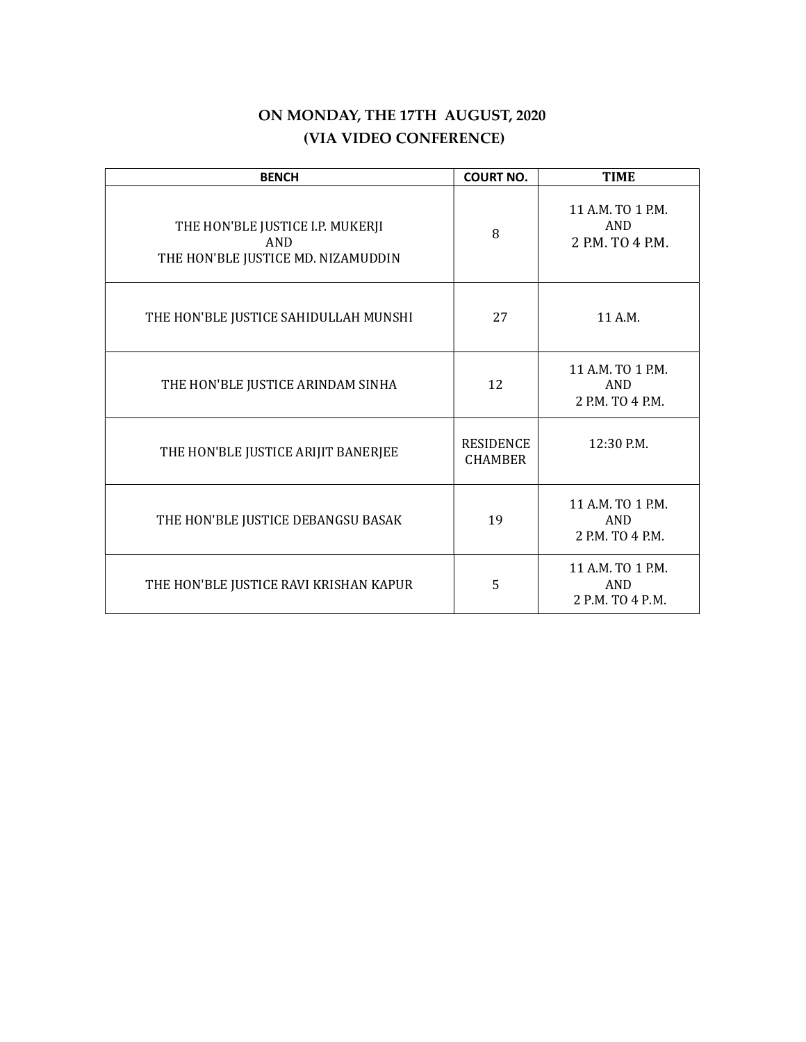# ON MONDAY, THE 17TH AUGUST, 2020 (VIA VIDEO CONFERENCE)

| <b>BENCH</b>                                                                  | <b>COURT NO.</b>                   | <b>TIME</b>                                  |
|-------------------------------------------------------------------------------|------------------------------------|----------------------------------------------|
| THE HON'BLE JUSTICE I.P. MUKERJI<br>AND<br>THE HON'BLE JUSTICE MD. NIZAMUDDIN | 8                                  | 11 A.M. TO 1 P.M.<br>AND<br>2 P.M. TO 4 P.M. |
| THE HON'BLE JUSTICE SAHIDULLAH MUNSHI                                         | 27                                 | 11 A.M.                                      |
| THE HON'BLE JUSTICE ARINDAM SINHA                                             | 12                                 | 11 A.M. TO 1 P.M.<br>AND<br>2 P.M. TO 4 P.M. |
| THE HON'BLE JUSTICE ARIJIT BANERJEE                                           | <b>RESIDENCE</b><br><b>CHAMBER</b> | 12:30 P.M.                                   |
| THE HON'BLE JUSTICE DEBANGSU BASAK                                            | 19                                 | 11 A.M. TO 1 P.M.<br>AND<br>2 P.M. TO 4 P.M. |
| THE HON'BLE JUSTICE RAVI KRISHAN KAPUR                                        | 5                                  | 11 A.M. TO 1 P.M.<br>AND<br>2 P.M. TO 4 P.M. |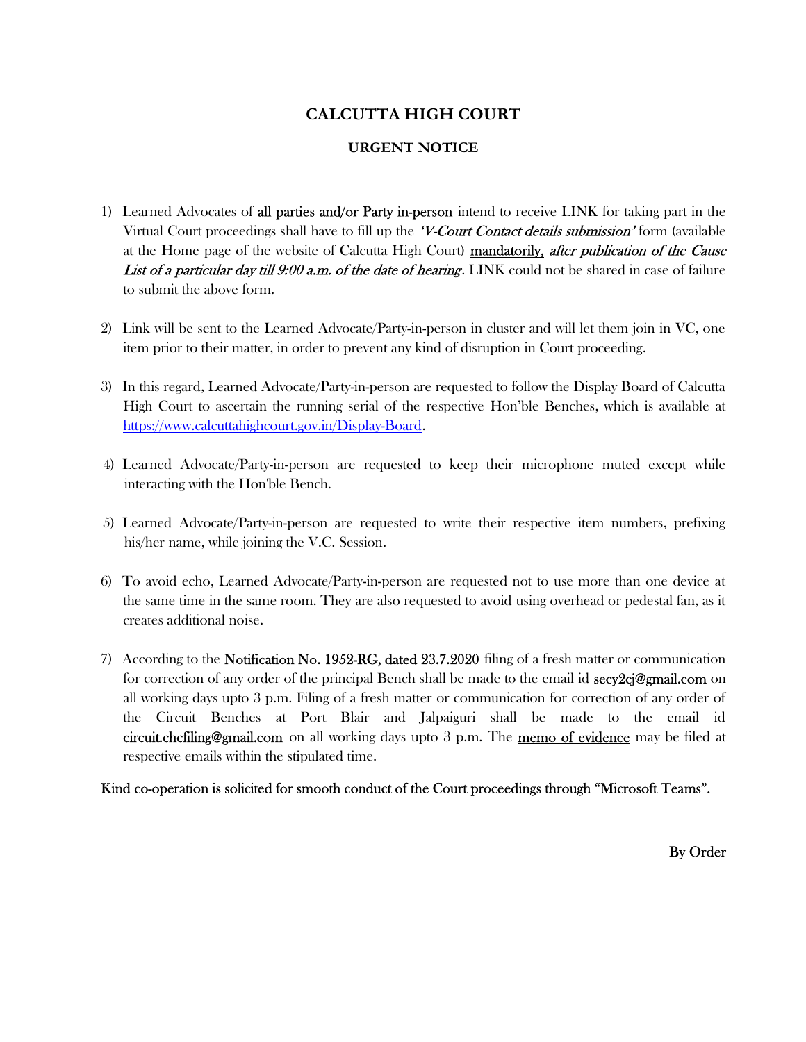# CALCUTTA HIGH COURT

# URGENT NOTICE

- 1) Learned Advocates of all parties and/or Party in-person intend to receive LINK for taking part in the Virtual Court proceedings shall have to fill up the *V-Court Contact details submission*' form (available at the Home page of the website of Calcutta High Court) mandatorily, after publication of the Cause List of a particular day till 9:00 a.m. of the date of hearing. LINK could not be shared in case of failure to submit the above form.
- 2) Link will be sent to the Learned Advocate/Party-in-person in cluster and will let them join in VC, one item prior to their matter, in order to prevent any kind of disruption in Court proceeding.
- 3) In this regard, Learned Advocate/Party-in-person are requested to follow the Display Board of Calcutta High Court to ascertain the running serial of the respective Hon'ble Benches, which is available at https://www.calcuttahighcourt.gov.in/Display-Board.
- 4) Learned Advocate/Party-in-person are requested to keep their microphone muted except while interacting with the Hon'ble Bench.
- 5) Learned Advocate/Party-in-person are requested to write their respective item numbers, prefixing his/her name, while joining the V.C. Session.
- 6) To avoid echo, Learned Advocate/Party-in-person are requested not to use more than one device at the same time in the same room. They are also requested to avoid using overhead or pedestal fan, as it creates additional noise.
- 7) According to the **Notification No. 1952-RG, dated 23.7.2020** filing of a fresh matter or communication for correction of any order of the principal Bench shall be made to the email id **secy2cj@gmail.com** on all working days upto 3 p.m. Filing of a fresh matter or communication for correction of any order of the Circuit Benches at Port Blair and Jalpaiguri shall be made to the email id circuit.chcfiling@gmail.com on all working days upto 3 p.m. The memo of evidence may be filed at respective emails within the stipulated time.

Kind co-operation is solicited for smooth conduct of the Court proceedings through "Microsoft Teams".

By Order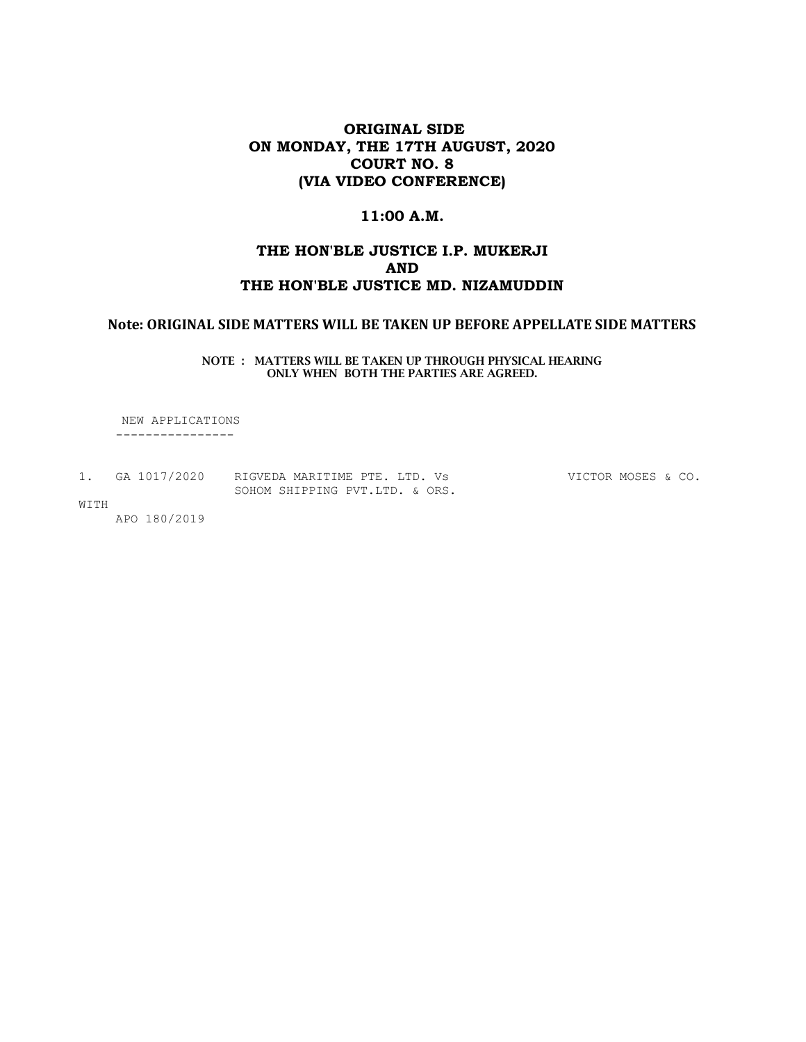# ORIGINAL SIDE ON MONDAY, THE 17TH AUGUST, 2020 COURT NO. 8 (VIA VIDEO CONFERENCE)

### 11:00 A.M.

## THE HON'BLE JUSTICE I.P. MUKERJI AND THE HON'BLE JUSTICE MD. NIZAMUDDIN

### Note: ORIGINAL SIDE MATTERS WILL BE TAKEN UP BEFORE APPELLATE SIDE MATTERS

NOTE : MATTERS WILL BE TAKEN UP THROUGH PHYSICAL HEARING ONLY WHEN BOTH THE PARTIES ARE AGREED.

 NEW APPLICATIONS ----------------

1. GA 1017/2020 RIGVEDA MARITIME PTE. LTD. Vs VICTOR MOSES & CO. SOHOM SHIPPING PVT.LTD. & ORS.

WITH

APO 180/2019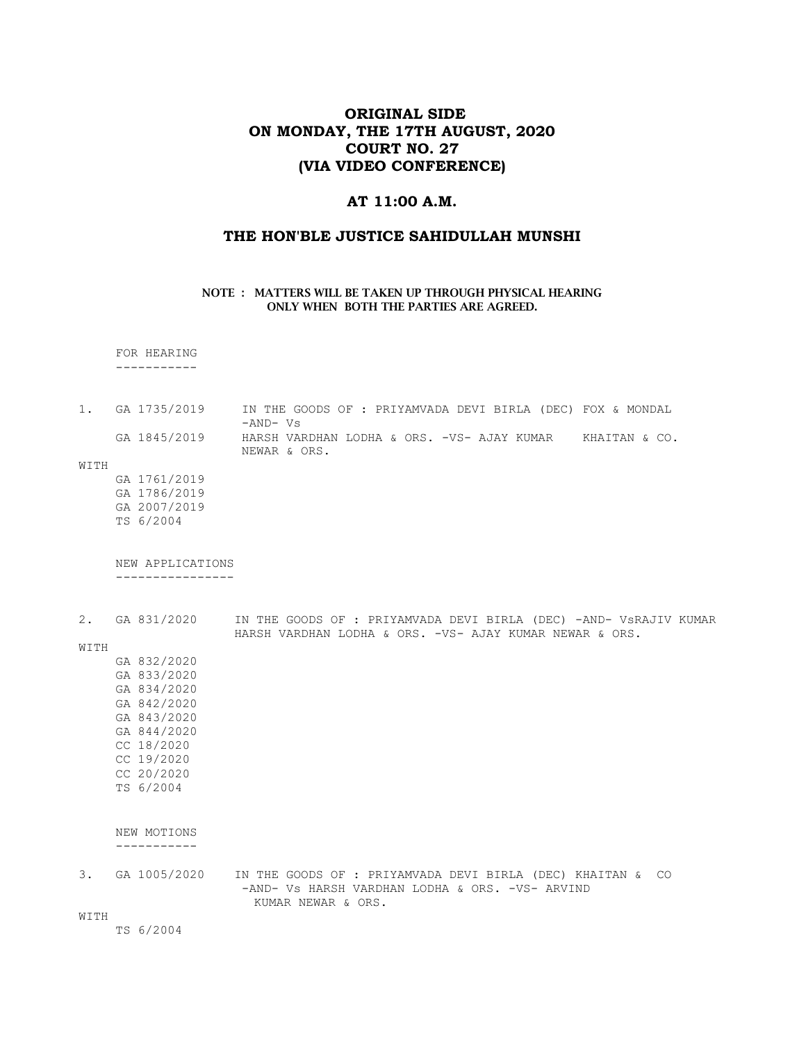# ORIGINAL SIDE ON MONDAY, THE 17TH AUGUST, 2020 COURT NO. 27 (VIA VIDEO CONFERENCE)

#### AT 11:00 A.M.

### THE HON'BLE JUSTICE SAHIDULLAH MUNSHI

#### NOTE : MATTERS WILL BE TAKEN UP THROUGH PHYSICAL HEARING ONLY WHEN BOTH THE PARTIES ARE AGREED.

#### FOR HEARING -----------

- 1. GA 1735/2019 IN THE GOODS OF : PRIYAMVADA DEVI BIRLA (DEC) FOX & MONDAL -AND- Vs GA 1845/2019 HARSH VARDHAN LODHA & ORS. -VS- AJAY KUMAR KHAITAN & CO. NEWAR & ORS.
- WITH
	- GA 1761/2019 GA 1786/2019 GA 2007/2019 TS 6/2004

 NEW APPLICATIONS ----------------

2. GA 831/2020 IN THE GOODS OF : PRIYAMVADA DEVI BIRLA (DEC) -AND- VsRAJIV KUMAR HARSH VARDHAN LODHA & ORS. -VS- AJAY KUMAR NEWAR & ORS.

#### WITH

 GA 832/2020 GA 833/2020 GA 834/2020 GA 842/2020 GA 843/2020 GA 844/2020 CC 18/2020 CC 19/2020 CC 20/2020 TS 6/2004

#### NEW MOTIONS -----------

3. GA 1005/2020 IN THE GOODS OF : PRIYAMVADA DEVI BIRLA (DEC) KHAITAN & CO -AND- Vs HARSH VARDHAN LODHA & ORS. -VS- ARVIND KUMAR NEWAR & ORS.

WITH

TS 6/2004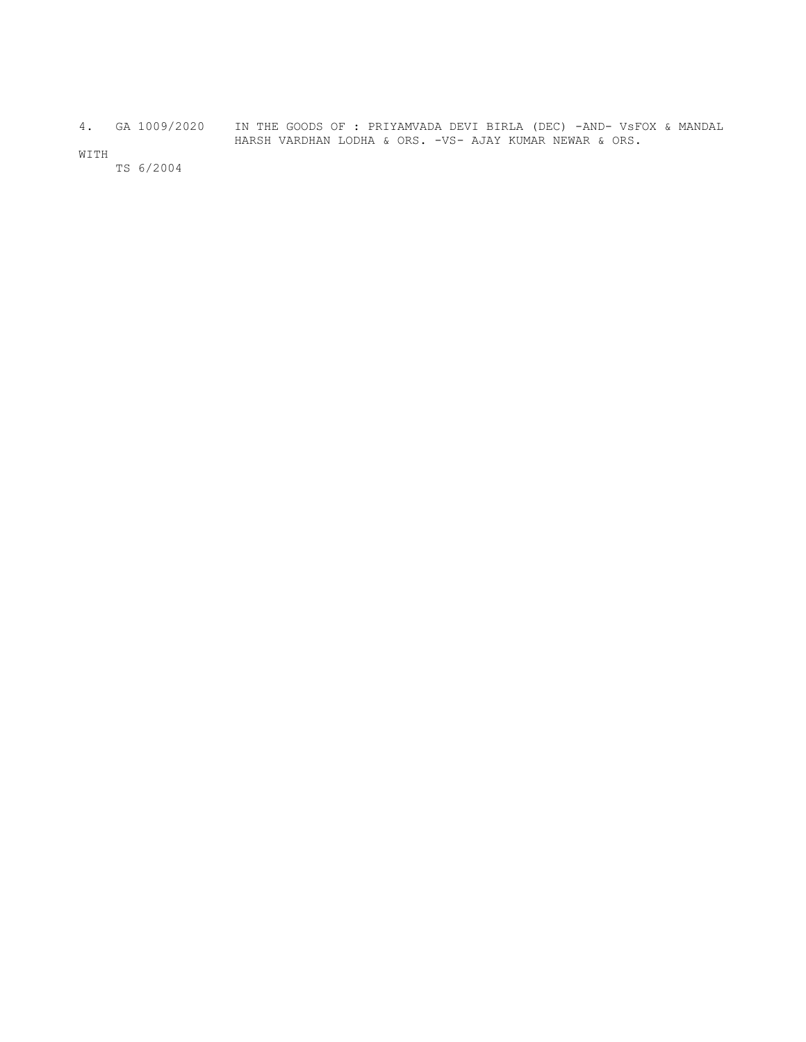4. GA 1009/2020 IN THE GOODS OF : PRIYAMVADA DEVI BIRLA (DEC) -AND- VsFOX & MANDAL HARSH VARDHAN LODHA & ORS. -VS- AJAY KUMAR NEWAR & ORS.

WITH

TS 6/2004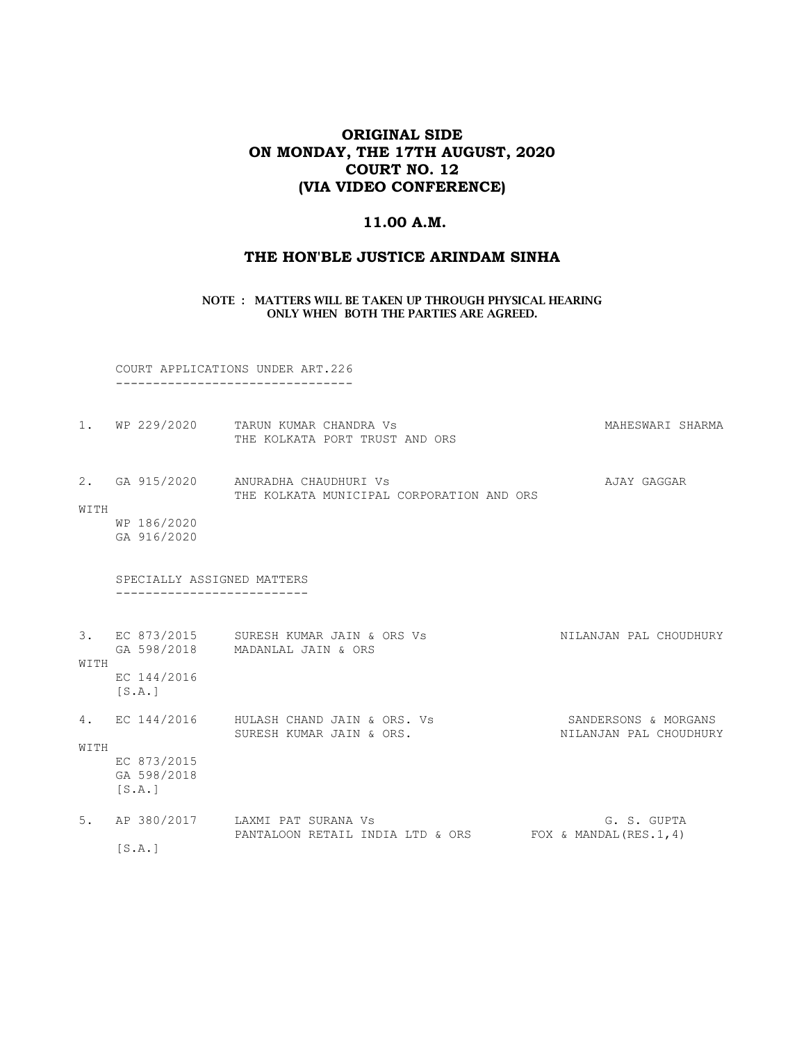# ORIGINAL SIDE ON MONDAY, THE 17TH AUGUST, 2020 COURT NO. 12 (VIA VIDEO CONFERENCE)

### 11.00 A.M.

# THE HON'BLE JUSTICE ARINDAM SINHA

NOTE : MATTERS WILL BE TAKEN UP THROUGH PHYSICAL HEARING ONLY WHEN BOTH THE PARTIES ARE AGREED.

 COURT APPLICATIONS UNDER ART.226 --------------------------------

|      | 1. WP 229/2020                                         | TARUN KUMAR CHANDRA VS<br>THE KOLKATA PORT TRUST AND ORS                                      | MAHESWARI SHARMA                               |
|------|--------------------------------------------------------|-----------------------------------------------------------------------------------------------|------------------------------------------------|
| WITH | 2. GA 915/2020<br>WP 186/2020<br>GA 916/2020           | ANURADHA CHAUDHURI Vs<br>THE KOLKATA MUNICIPAL CORPORATION AND ORS                            | AJAY GAGGAR                                    |
|      | SPECIALLY ASSIGNED MATTERS                             |                                                                                               |                                                |
| WITH | EC 144/2016<br>[S.A.]                                  | 3. EC 873/2015 SURESH KUMAR JAIN & ORS Vs<br>GA 598/2018 MADANLAL JAIN & ORS                  | NILANJAN PAL CHOUDHURY                         |
| WITH | 4. EC 144/2016<br>EC 873/2015<br>GA 598/2018<br>[S.A.] | HULASH CHAND JAIN & ORS. Vs<br>SURESH KUMAR JAIN & ORS.                                       | SANDERSONS & MORGANS<br>NILANJAN PAL CHOUDHURY |
|      | [S.A.]                                                 | 5. AP 380/2017 LAXMI PAT SURANA Vs<br>PANTALOON RETAIL INDIA LTD & ORS FOX & MANDAL (RES.1,4) | G. S. GUPTA                                    |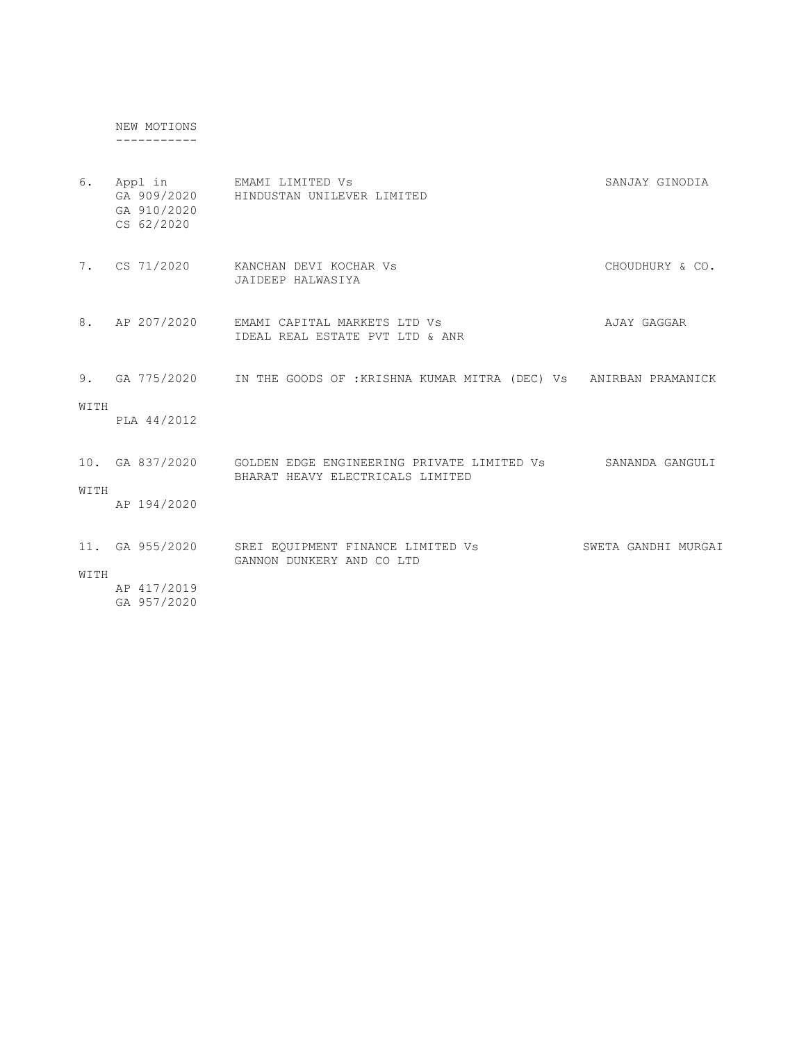NEW MOTIONS -----------

| 6.   | Appl in<br>GA 910/2020<br>CS 62/2020 | EMAMI LIMITED Vs<br>GA 909/2020 HINDUSTAN UNILEVER LIMITED                                        | SANJAY GINODIA      |
|------|--------------------------------------|---------------------------------------------------------------------------------------------------|---------------------|
| 7.   | CS 71/2020                           | KANCHAN DEVI KOCHAR VS<br>JAIDEEP HALWASIYA                                                       | CHOUDHURY & CO.     |
|      | 8. AP 207/2020                       | EMAMI CAPITAL MARKETS LTD Vs<br>IDEAL REAL ESTATE PVT LTD & ANR                                   | AJAY GAGGAR         |
|      |                                      | 9. GA 775/2020 IN THE GOODS OF : KRISHNA KUMAR MITRA (DEC) Vs ANIRBAN PRAMANICK                   |                     |
| WITH | PLA 44/2012                          |                                                                                                   |                     |
|      |                                      | 10. GA 837/2020    GOLDEN EDGE ENGINEERING PRIVATE LIMITED Vs<br>BHARAT HEAVY ELECTRICALS LIMITED | SANANDA GANGULI     |
| WITH | AP 194/2020                          |                                                                                                   |                     |
|      | 11. GA 955/2020                      | SREI EQUIPMENT FINANCE LIMITED Vs<br>GANNON DUNKERY AND CO LTD                                    | SWETA GANDHI MURGAI |
| WITH | AP 417/2019<br>GA 957/2020           |                                                                                                   |                     |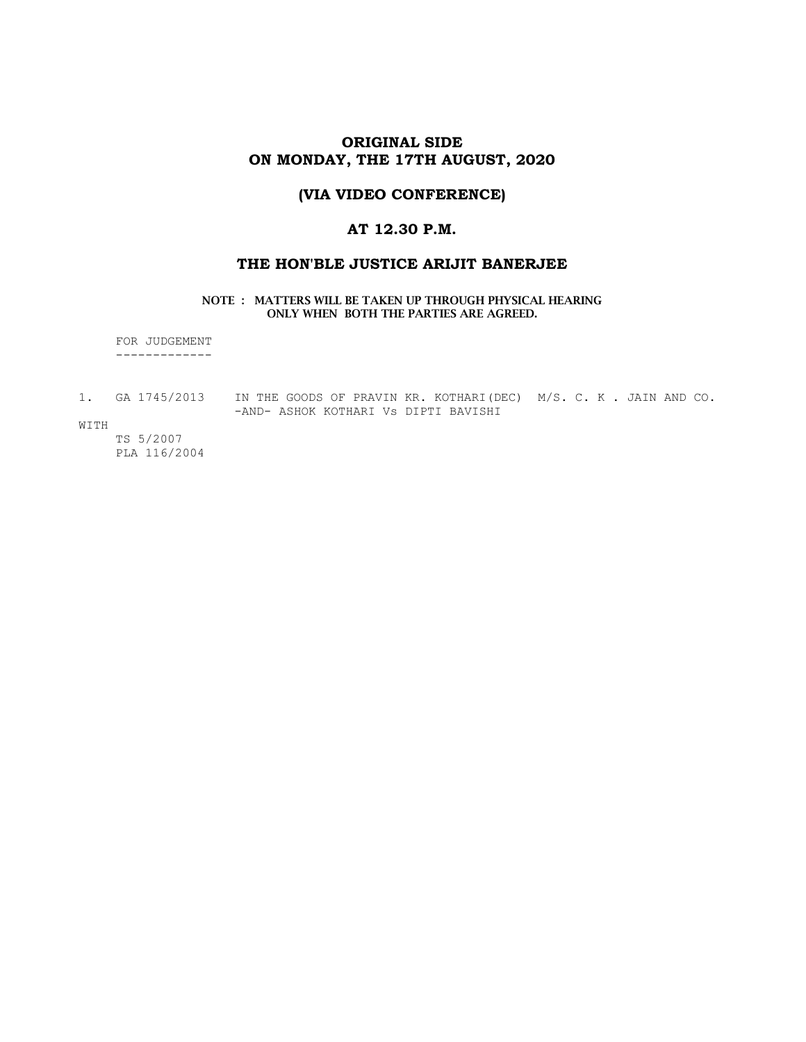### ORIGINAL SIDE ON MONDAY, THE 17TH AUGUST, 2020

# (VIA VIDEO CONFERENCE)

# AT 12.30 P.M.

#### THE HON'BLE JUSTICE ARIJIT BANERJEE

#### NOTE : MATTERS WILL BE TAKEN UP THROUGH PHYSICAL HEARING ONLY WHEN BOTH THE PARTIES ARE AGREED.

 FOR JUDGEMENT -------------

- 1. GA 1745/2013 IN THE GOODS OF PRAVIN KR. KOTHARI(DEC) M/S. C. K . JAIN AND CO. -AND- ASHOK KOTHARI Vs DIPTI BAVISHI
- WITH

 TS 5/2007 PLA 116/2004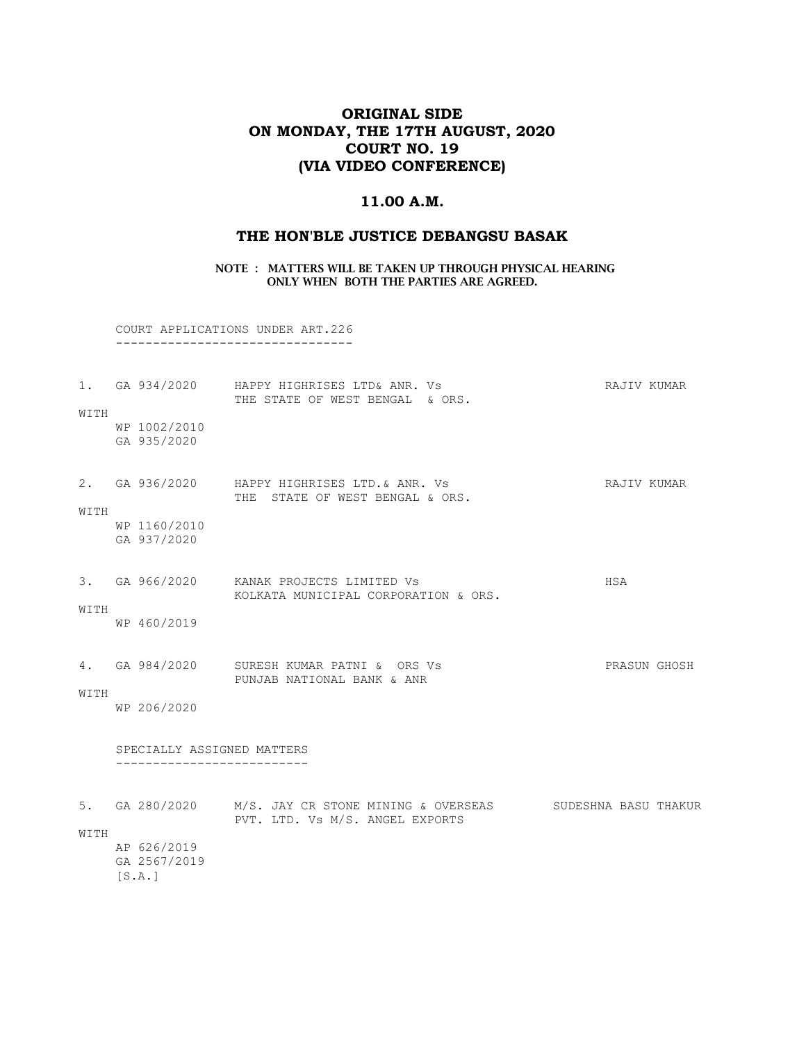# ORIGINAL SIDE ON MONDAY, THE 17TH AUGUST, 2020 COURT NO. 19 (VIA VIDEO CONFERENCE)

## 11.00 A.M.

# THE HON'BLE JUSTICE DEBANGSU BASAK

#### NOTE : MATTERS WILL BE TAKEN UP THROUGH PHYSICAL HEARING ONLY WHEN BOTH THE PARTIES ARE AGREED.

 COURT APPLICATIONS UNDER ART.226 --------------------------------

|      |                                                       | 1. GA 934/2020 HAPPY HIGHRISES LTD& ANR. Vs<br>THE STATE OF WEST BENGAL & ORS.                             | RAJIV KUMAR  |  |
|------|-------------------------------------------------------|------------------------------------------------------------------------------------------------------------|--------------|--|
| WITH | WP 1002/2010<br>GA 935/2020                           |                                                                                                            |              |  |
| WITH |                                                       | 2. GA 936/2020 HAPPY HIGHRISES LTD. & ANR. Vs<br>THE STATE OF WEST BENGAL & ORS.                           | RAJIV KUMAR  |  |
|      | WP 1160/2010<br>GA 937/2020                           |                                                                                                            |              |  |
|      |                                                       | 3. GA 966/2020 KANAK PROJECTS LIMITED Vs<br>KOLKATA MUNICIPAL CORPORATION & ORS.                           | HSA          |  |
| WITH | WP 460/2019                                           |                                                                                                            |              |  |
| WITH |                                                       | 4. GA 984/2020 SURESH KUMAR PATNI & ORS Vs<br>PUNJAB NATIONAL BANK & ANR                                   | PRASUN GHOSH |  |
|      | WP 206/2020                                           |                                                                                                            |              |  |
|      | SPECIALLY ASSIGNED MATTERS<br>----------------------- |                                                                                                            |              |  |
| WITH |                                                       | 5. GA 280/2020 M/S. JAY CR STONE MINING & OVERSEAS SUDESHNA BASU THAKUR<br>PVT. LTD. Vs M/S. ANGEL EXPORTS |              |  |
|      | AP 626/2019<br>GA 2567/2019<br>[S.A.]                 |                                                                                                            |              |  |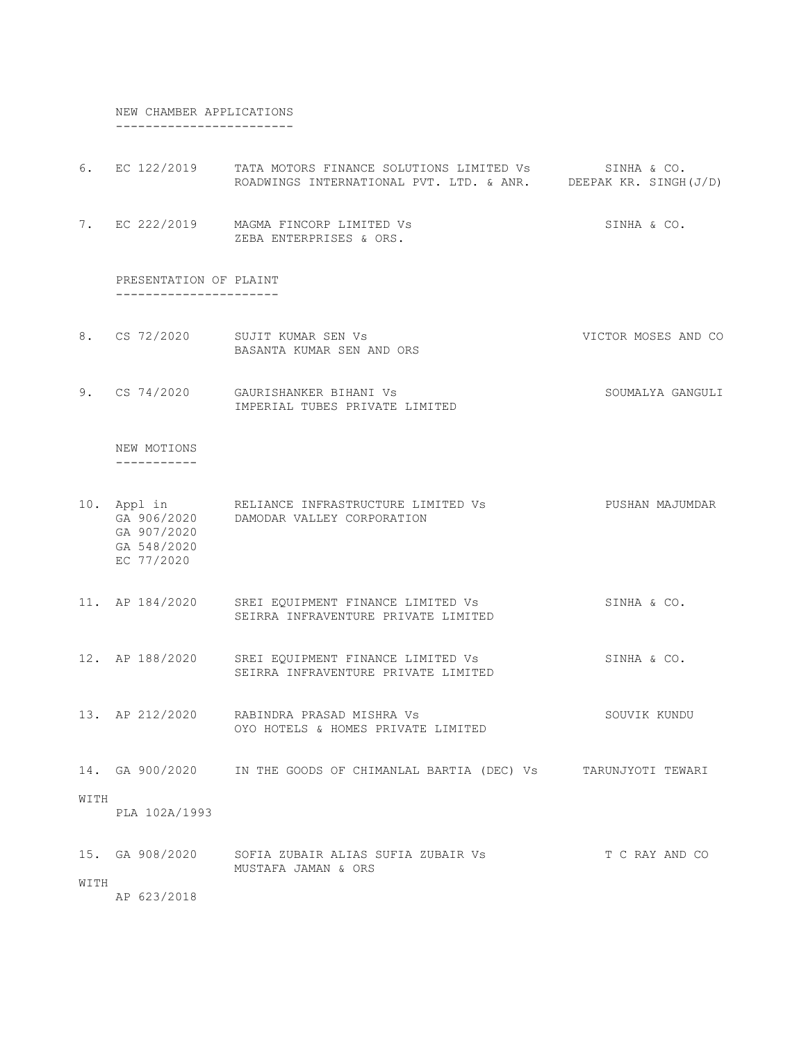NEW CHAMBER APPLICATIONS ------------------------

|      |                                                  | 6. EC 122/2019 TATA MOTORS FINANCE SOLUTIONS LIMITED Vs SINHA & CO.<br>ROADWINGS INTERNATIONAL PVT. LTD. & ANR. DEEPAK KR. SINGH(J/D) |                     |
|------|--------------------------------------------------|---------------------------------------------------------------------------------------------------------------------------------------|---------------------|
|      |                                                  | 7. EC 222/2019 MAGMA FINCORP LIMITED Vs<br>ZEBA ENTERPRISES & ORS.                                                                    | SINHA & CO.         |
|      | PRESENTATION OF PLAINT<br>---------------------- |                                                                                                                                       |                     |
|      |                                                  | 8. CS 72/2020 SUJIT KUMAR SEN Vs<br>BASANTA KUMAR SEN AND ORS                                                                         | VICTOR MOSES AND CO |
|      |                                                  | 9. CS 74/2020 GAURISHANKER BIHANI Vs<br>IMPERIAL TUBES PRIVATE LIMITED                                                                | SOUMALYA GANGULI    |
|      | NEW MOTIONS<br>------------                      |                                                                                                                                       |                     |
|      | GA 907/2020<br>GA 548/2020<br>EC 77/2020         | 10. Appl in RELIANCE INFRASTRUCTURE LIMITED Vs<br>GA 906/2020 DAMODAR VALLEY CORPORATION                                              | PUSHAN MAJUMDAR     |
|      |                                                  | 11. AP 184/2020 SREI EQUIPMENT FINANCE LIMITED Vs<br>SEIRRA INFRAVENTURE PRIVATE LIMITED                                              | SINHA & CO.         |
|      |                                                  | 12. AP 188/2020 SREI EQUIPMENT FINANCE LIMITED Vs<br>SEIRRA INFRAVENTURE PRIVATE LIMITED                                              | SINHA & CO.         |
|      |                                                  | 13. AP 212/2020 RABINDRA PRASAD MISHRA Vs<br>OYO HOTELS & HOMES PRIVATE LIMITED                                                       | SOUVIK KUNDU        |
|      |                                                  | 14. GA 900/2020 IN THE GOODS OF CHIMANLAL BARTIA (DEC) Vs                                                                             | TARUNJYOTI TEWARI   |
| WITH | PLA 102A/1993                                    |                                                                                                                                       |                     |
| WITH | 15. GA 908/2020                                  | SOFIA ZUBAIR ALIAS SUFIA ZUBAIR VS<br>MUSTAFA JAMAN & ORS                                                                             | T C RAY AND CO      |
|      | AP 623/2018                                      |                                                                                                                                       |                     |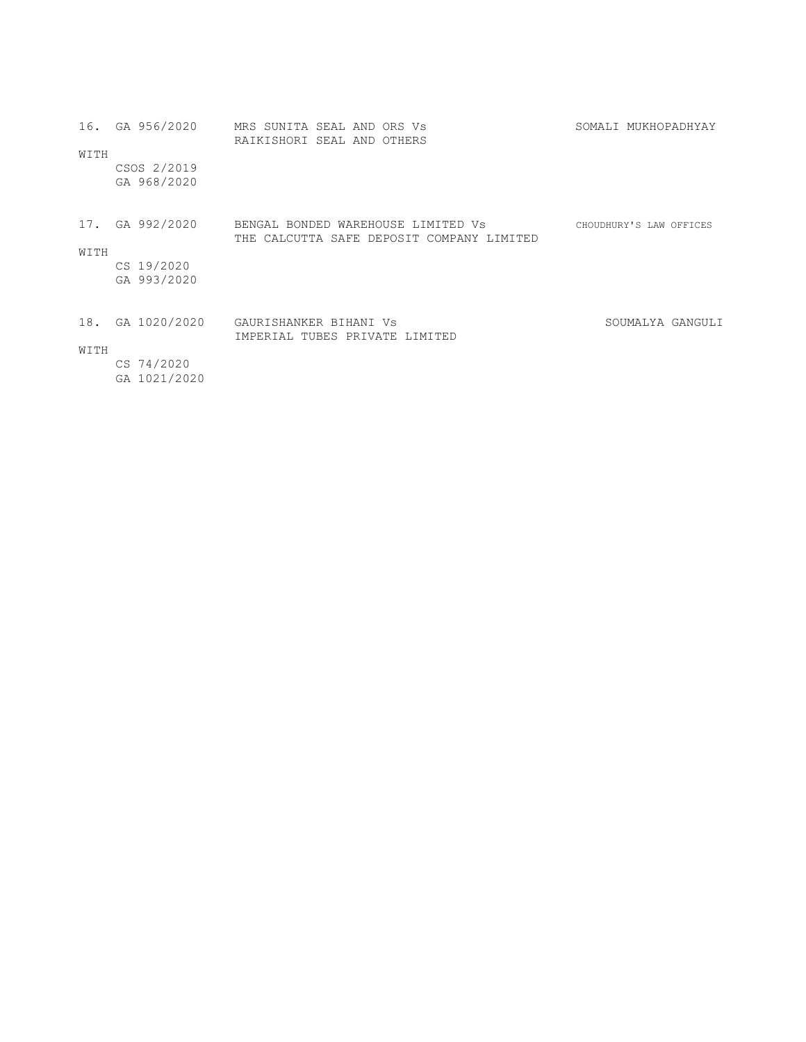| WITH | 16. GA 956/2020<br>CSOS 2/2019 | MRS SUNITA SEAL AND ORS Vs<br>RAIKISHORI SEAL AND OTHERS                                        | SOMALI MUKHOPADHYAY     |  |
|------|--------------------------------|-------------------------------------------------------------------------------------------------|-------------------------|--|
|      | GA 968/2020                    |                                                                                                 |                         |  |
|      |                                | 17. GA 992/2020 BENGAL BONDED WAREHOUSE LIMITED Vs<br>THE CALCUTTA SAFE DEPOSIT COMPANY LIMITED | CHOUDHURY'S LAW OFFICES |  |
| WITH |                                |                                                                                                 |                         |  |
|      | CS 19/2020                     |                                                                                                 |                         |  |
|      | GA 993/2020                    |                                                                                                 |                         |  |
| 18.  | GA 1020/2020                   | GAURISHANKER BIHANI VS<br>IMPERIAL TUBES PRIVATE LIMITED                                        | SOUMALYA GANGULI        |  |
| WITH |                                |                                                                                                 |                         |  |
|      | CS 74/2020<br>GA 1021/2020     |                                                                                                 |                         |  |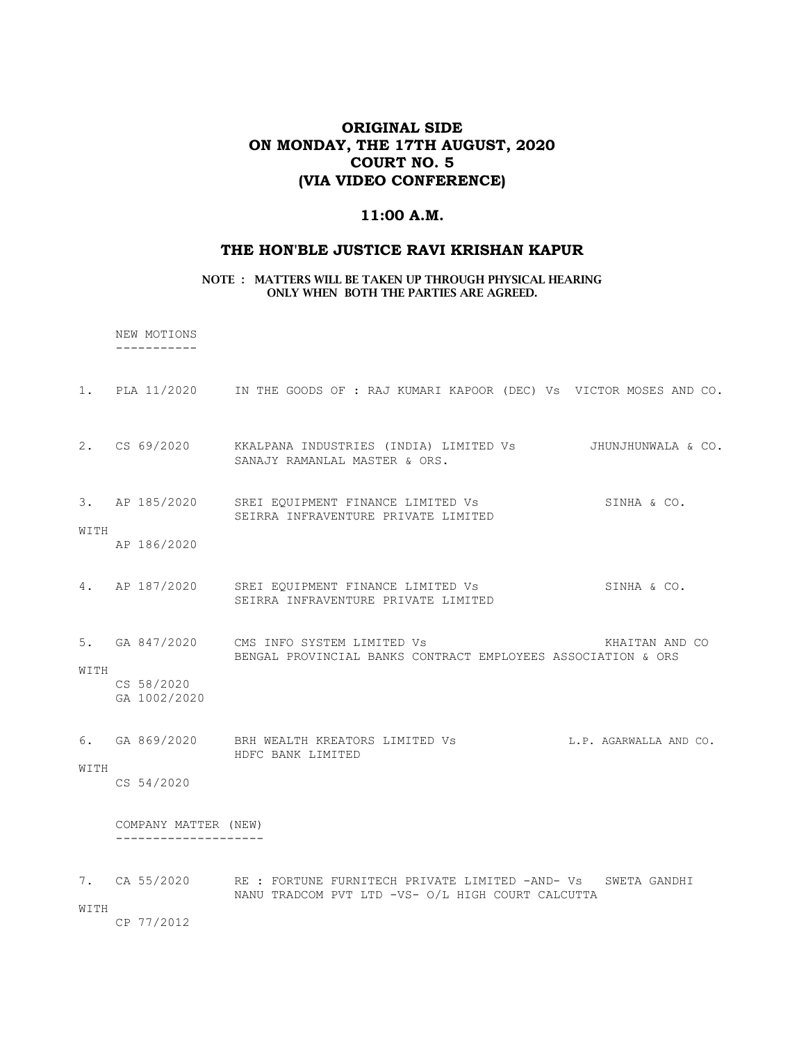# ORIGINAL SIDE ON MONDAY, THE 17TH AUGUST, 2020 COURT NO. 5 (VIA VIDEO CONFERENCE)

### 11:00 A.M.

#### THE HON'BLE JUSTICE RAVI KRISHAN KAPUR

NOTE : MATTERS WILL BE TAKEN UP THROUGH PHYSICAL HEARING ONLY WHEN BOTH THE PARTIES ARE AGREED.

 NEW MOTIONS -----------

|      |                            | 1. PLA 11/2020 IN THE GOODS OF: RAJ KUMARI KAPOOR (DEC) Vs VICTOR MOSES AND CO.                                             |
|------|----------------------------|-----------------------------------------------------------------------------------------------------------------------------|
|      |                            | 2. CS 69/2020 KKALPANA INDUSTRIES (INDIA) LIMITED Vs 3HUNJHUNWALA & CO.<br>SANAJY RAMANLAL MASTER & ORS.                    |
| WITH | AP 186/2020                | 3. AP 185/2020 SREI EQUIPMENT FINANCE LIMITED Vs<br>SINHA & CO.<br>SEIRRA INFRAVENTURE PRIVATE LIMITED                      |
|      |                            | 4. AP 187/2020 SREI EQUIPMENT FINANCE LIMITED Vs<br>SINHA & CO.<br>SEIRRA INFRAVENTURE PRIVATE LIMITED                      |
| WITH | CS 58/2020<br>GA 1002/2020 | 5. GA 847/2020 CMS INFO SYSTEM LIMITED Vs<br>KHAITAN AND CO<br>BENGAL PROVINCIAL BANKS CONTRACT EMPLOYEES ASSOCIATION & ORS |
| WITH | CS 54/2020                 | 6. GA 869/2020 BRH WEALTH KREATORS LIMITED Vs<br>L.P. AGARWALLA AND CO.<br>HDFC BANK LIMITED                                |
|      | COMPANY MATTER (NEW)       |                                                                                                                             |
|      |                            | 7. CA 55/2020 RE: FORTUNE FURNITECH PRIVATE LIMITED -AND- Vs SWETA GANDHI                                                   |

NANU TRADCOM PVT LTD -VS- O/L HIGH COURT CALCUTTA

WITH

CP 77/2012